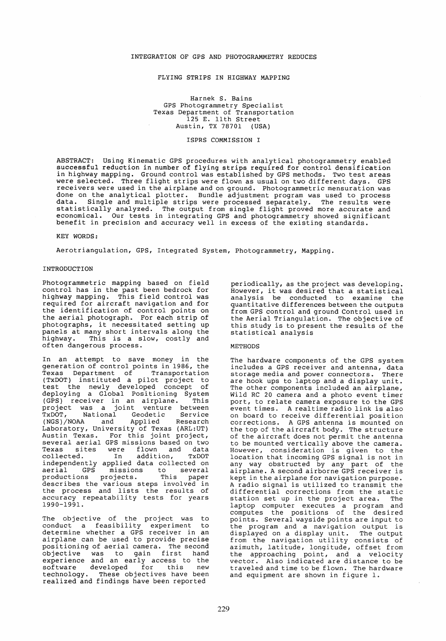# INTEGRATION OF GPS AND PHOTOGRAMMETRY REDUCES

### FLYING STRIPS IN HIGHWAY MAPPING

Harnek S. Bains GPS Photogrammetry Specialist Texas Department of Transportation 125 E. 11th Street Austin, TX 78701 (USA)

### ISPRS COMMISSION I

ABSTRACT: Using Kinematic GPS procedures with analytical photogrammetry enabled successful reduction in number of flying strips required for control densification in highway mapping. Ground control was established by GPS methods. Two test areas were selected. Three flight strips were flown as usual on two different days. GPS receivers were used in the airplane and on ground. Photogrammetric mensuration was done on the analytical plotter. Bundle adjustment program was used to process<br>data. Single and multiple strips were processed separately. The results were Single and multiple strips were processed separately. statistically analyzed. The output from single flight proved more accurate and economical. Our tests in integrating GPS and photogrammetry showed significant benefit in precision and accuracy well in excess of the existing standards.

KEY WORDS:

Aerotriangulation, GPS, Integrated System, Photogrammetry, Mapping.

#### INTRODUCTION

Photogrammetric mapping based on field control has in the past been bedrock for highway mapping. This field control was required for aircraft navigation and for the identification of control points on the aerial photograph. For each strip of photographs, it neceasitated setting up panels at many short intervals along the<br>highway. This is a slow, costly and This is a slow, costly and often dangerous process.

In an attempt to save money in the generation of control points in 1986, the Texas Department of Transportation (TxDOT) instituted a pilot project to test the newly developed concept of deploying a Global Positioning System (GPS) receiver in an airplane. This project was a joint venture between TxDOT, National Geodetic Service TxDOT, National Geodetic Service<br>(NGS)/NOAA and Applied Research Laboratory, University of Texas (ARL:UT) Austin Texas. For this joint project, several aerial GPS missions based on two Texas sites were flown and data Texas sites were flown and data<br>collected. In addition, TxDOT independently applied data collected on aer ial GPS missions to several aerial GPS missions to several<br>productions projects. This paper describes the various steps involved in the process and lists the results of accuracy repeatability tests for years 1990-1991.

The objective of the project was to conduct a feasibility experiment to determine whether a GPS receiver in an airplane can be used to provide precise positioning of aerial camera. The second positioning of aerial camera. The second<br>objective was to gain first hand experience and an early access to the emperience and an earry access to the<br>software developed for this new technology. These objectives have been realized and findings have been reported

per iodically, as the project was developing. However, it was desired that a statistical analysis be conducted to examine the quantitative differences between the outputs from GPS control and ground Control used in the Aerial Triangulation. The objective of this study is to present the results of the statistical analysis

## METHODS

The hardware components of the GPS system includes a GPS receiver and antenna, data storage media and power connectors. There are hook ups to laptop and a display unit. The other components included an airplane, Wild RC 20 camera and a photo event timer port, to relate camera exposure to the GPS event times. Arealtime radio link is also on board to receive differential position corrections. A GPS antenna is mounted on the top of the aircraft body. The structure of the aircraft does not permit the antenna to be mounted vertically above the camera. However, consideration is given to the location that incoming GPS signal is not in any way obstructed by any part of the airplane. A second airborne GPS receiver is kept in the airplane for navigation purpose . A radio signal is utilized to transmit the differential corrections from the static<br>station set up in the project area. The station set up in the project area. laptop computer executes a program and computes the positions of the desired points. Several wayside points are input to the program and a navigation output is displayed on a display unit. The output from the navigation utility consists of azimuth, latitude, longitude, offset from the approaching point, and a velocity vector. Also indicated are distance to be traveled and time to be flown. The hardware and equipment are shown in figure 1.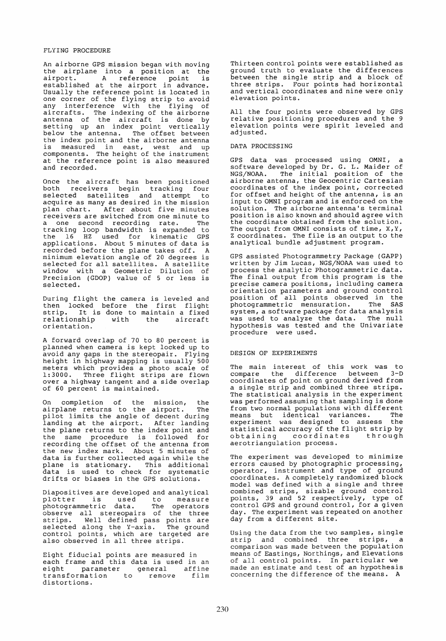## FLYING PROCEDURE

An airborne GPS mission began with moving the airplane into a position at the airport. A reference point is established at the airport in advance. Usually the reference point is located in one corner of the flying strip to avoid any interference with the flying of any incertence with the liging of antenna of the aircraft is done by setting up an index point vertically below the antenna. The offset between the index point and the airborne antenna end indem point and the afficient antenna<br>is measured in east, west and up components. The height of the instrument at the reference point is also measured and recorded.

Once the aircraft has been positioned both receivers begin tracking four selected satellites and attempt to acquire as many as desired in the mission plan chart. After about five minutes receivers are switched from one minute to a one second recording rate. The tracking loop bandwidth is expanded to the 16 HZ used for kinematic GPS applications. About 5 minutes of data is recorded before the plane takes off. A minimum elevation angle of 20 degrees is selected for all satellites. A satellite window with a Geometric Dilution of Precision (GDOP) value of 5 or less is selected.

During flight the camera is leveled and then locked before the first flight strip. It is done to maintain a fixed peript it is done to maintain a fined<br>relationship with the aircraft relationship<br>orientation.

A forward overlap of 70 to 80 percent is planned when camera is kept locked up to avoid any gaps in the stereopair. Flying height in highway mapping is usually 500 meters which provides a photo scale of 1:3000. Three flight strips are flown over a highway tangent and a side overlap of 60 percent is maintained.

On completion of the mission, the on compression of the mission, the<br>airplane returns to the airport. The airplane returns to the airport. The<br>pilot limits the angle of decent during landing at the airport. After landing the plane returns to the index point and the same procedure is followed for recording the offset of the antenna from the new index mark. About 5 minutes of data is further collected again while the addd is further corrected again while the<br>plane is stationary. This additional prane is seationary. This additional drifts or biases in the GPS solutions.

Diapositives are developed and analytical<br>plotter is used to measure<br>photogrammetric data. The operators plapositives are developed and analytical<br>plotter is used to measure photograrnmetric data. The operators observe all stereopairs of the three strips. Well defined pass points are selected along the Y-axis. The ground control points, which are targeted are also observed in all three strips.

Eight fiducial points are measured in each frame and this data is used in an eight parameter general affine transformation to remove film distortions.

Thirteen control points were established as ground truth to evaluate the differences between the single strip and a block of three strips. Four points had horizontal and vertical coordinates and nine were only elevation points.

All the four points were observed by GPS relative positioning procedures and the 9 elevation points were spirit leveled and adjusted.

#### DATA PROCESSING

GPS data was processed using OMNI, a software developed by Dr. G. L. Maider of NGS/NOAA. The initial position of the airborne antenna, the Geocentric Cartesian coordinates of the index point, corrected for offset and height of the antenna, is an input to OMNI program and is enforced on the solution. The airborne antenna's terminal position is also known and should agree with the coordinate obtained from the solution. The output from OMNI consists of time, X, Y, Z coordinates. The file is an output to the analytical bundle adjustment program.

GPS assisted Photogrammetry Package (GAPP) written by Jim Lucas, NGS/NOAA was used to process the analytic Photogrammetric data. The final output from this program is the precise camera positions, including camera orientation parameters and ground control posi tion of all points observed in the photograrnmetric mensuration. The SAS system, a software package for data analysis was used to analyze the data. The null hypothesis was tested and the Univariate procedure were used.

## DESIGN OF EXPERIMENTS

The main interest of this work was to compare the difference between 3-D coordinates of point on ground derived from a single strip and combined three strips. The statistical analysis in the experiment was performed assuming that sampling is done from two normal populations with different means but identical variances. The experiment was designed to assess the experiment was designed to assess the<br>statistical accuracy of the flight strip by statistical accuracy of the firght strip by<br>obtaining coordinates through obtaining coordinates<br>aerotriangulation process.

The experiment was developed to minimize errors caused by photographic processing, operator, instrument and type of ground coordinates. A completely randomized block model was defined with a single and three combined strips, sizable ground control points, 39 and 52 respectively, type of control GPS and ground control, for a given day. The exper iment was repeated on another day from a different site.

Using the data from the two samples, single<br>strip and combined three strips, a strip and combined three strips, comparison was made between the population means of Eastings, Northings, and Elevations means of Eastings, Northings, and Elevation<br>of all control points. In particular we of all concret points. In particular we<br>made an estimate and test of an hypothesis concerning the difference of the means. A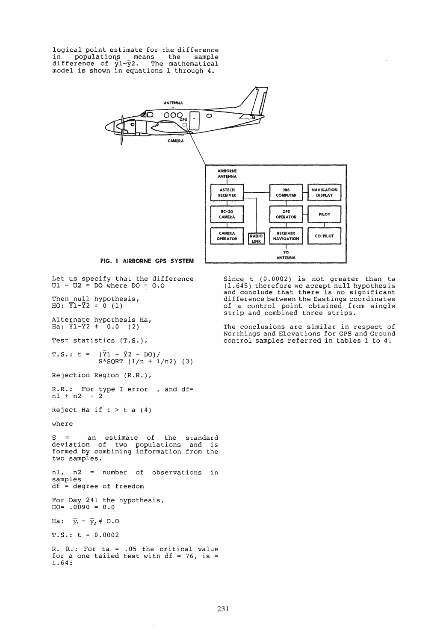logical point estimate for the difference in populations means the sample difference of y1-y2. The mathematical model is shown in equations 1 through 4.



Let us specify that the difference  $UL - U2 = DO$  where  $DO = O.O$ 

Then null hypothesis, HO:  $\overline{Y}1-\overline{Y}2 = 0$  (1)

Alternate hypothesis Ha, Ha: YI-Y2 \* 0.0 (2)

Test statistics (T.S.),

 $T.S.: t = (\bar{Y}1 - \bar{Y}2 - DO)/$  $S*SQRT$  (1/n + 1/n2) (3)

Rejection Region (R.R.),

R.R.: For type I error , and df= nl + n2 - 2

Reject Ha if  $t > t a (4)$ 

where

S = an estimate of the standard deviation of two populations and is formed by combining information from the two sampIes.

nl, n2 = number of observations in samples df = degree of freedom

For Day 241 the hypothesis,  $HO= .0090 = 0.0$ 

Ha:  $\overline{y}_1 - \overline{y}_2 \neq 0.0$ 

 $T.S.: t = 0.0002$ 

R. R.: For ta = .05 the critical value for a one tailed test with  $df = 76$ , is = 1.645

 $\bar{z}$ 

Since t (0.0002) is not greater than ta (1.645) therefore we accept null hypothesis and conclude that there is no significant difference between the Eastings coordinates of a control point obtained from single strip and combined three strips.

The conclusions are similar in respect of Northings and Elevations for GPS and Ground control samples referred in tables 1 to 4.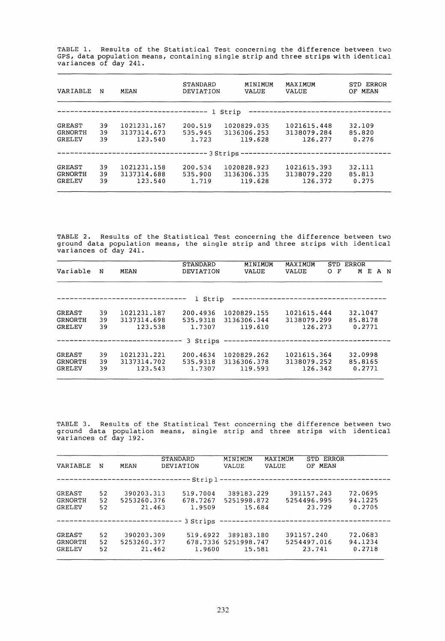TABLE 1. Results of the Statistical Test concerning the difference between two GPS, data population means, containing single strip and three strips with identical variances of day 241.

| VARIABLE                                                                         | N              | MEAN                                  | <b>STANDARD</b><br>DEVIATION | MINIMUM<br>VALUE                      | MAXIMUM<br>VALUE                      | STD ERROR<br>MEAN<br>OF   |  |  |  |
|----------------------------------------------------------------------------------|----------------|---------------------------------------|------------------------------|---------------------------------------|---------------------------------------|---------------------------|--|--|--|
|                                                                                  |                |                                       | 1.                           | Strip                                 |                                       |                           |  |  |  |
| GREAST<br><b>GRNORTH</b><br>GRELEV                                               | 39<br>39<br>39 | 1021231.167<br>3137314.673<br>123.540 | 200.519<br>535.945<br>1.723  | 1020829.035<br>3136306.253<br>119.628 | 1021615.448<br>3138079.284<br>126.277 | 32.109<br>85.820<br>0.276 |  |  |  |
| ------------------------------------- 3 Strips --------------------------------- |                |                                       |                              |                                       |                                       |                           |  |  |  |
| GREAST<br>GRNORTH<br><b>GRELEV</b>                                               | 39<br>39<br>39 | 1021231.158<br>3137314.688<br>123.540 | 200.534<br>535.900<br>1.719  | 1020828.923<br>3136306.335<br>119.628 | 1021615.393<br>3138079.220<br>126.372 | 32.111<br>85.813<br>0.275 |  |  |  |

TABLE 2. Results of the Statistical Test concerning the difference between two ground data population means, the single strip and three strips with identical variances of day 241.

| Variable                                  | N              | MEAN                                  | <b>STANDARD</b><br>DEVIATION   | MINIMUM<br>VALUE                      | MAXIMUM<br>VALUE                      | STD<br>F<br>O | ERROR<br>М<br>Е              | A N |
|-------------------------------------------|----------------|---------------------------------------|--------------------------------|---------------------------------------|---------------------------------------|---------------|------------------------------|-----|
|                                           |                |                                       | Strip<br>$\mathbf{1}$          |                                       |                                       |               |                              |     |
| <b>GREAST</b><br><b>GRNORTH</b><br>GRELEV | 39<br>39<br>39 | 1021231.187<br>3137314.698<br>123.538 | 200.4936<br>535.9318<br>1.7307 | 1020829.155<br>3136306.344<br>119.610 | 1021615.444<br>3138079.299<br>126.273 |               | 32.1047<br>85.8178<br>0.2771 |     |
|                                           |                |                                       | 3 Strips                       |                                       |                                       |               |                              |     |
| GREAST<br>GRNORTH<br>GRELEV               | 39<br>39<br>39 | 1021231.221<br>3137314.702<br>123.543 | 200.4634<br>535.9318<br>1.7307 | 1020829.262<br>3136306.378<br>119.593 | 1021615.364<br>3138079.252<br>126.342 |               | 32.0998<br>85,8165<br>0.2771 |     |

TABLE 3. Results of the Statistical Test concerning the difference between two ABBL 3. Results of the Statistical lest concerning the ufflerence between two<br>ground data population means, single strip and three strips with identical variances of day 192.

| VARIABLE                    | N              | MEAN                                | <b>STANDARD</b><br>DEVIATION   | MINIMUM<br>VALUE                             | MAXIMUM<br><b>VALUE</b>        | ERROR<br>STD<br>MEAN<br>OF.         |                              |
|-----------------------------|----------------|-------------------------------------|--------------------------------|----------------------------------------------|--------------------------------|-------------------------------------|------------------------------|
|                             |                |                                     |                                |                                              |                                |                                     |                              |
| GREAST<br>GRNORTH<br>GRELEV | 52<br>52<br>52 | 390203.313<br>5253260.376<br>21.463 | 519.7004<br>678.7267<br>1.9509 | 389183.229<br>5251998.872<br>15.684          |                                | 391157.243<br>5254496.995<br>23.729 | 72.0695<br>94.1225<br>0.2705 |
|                             |                |                                     | 3 Strips                       |                                              | ------------------------------ |                                     |                              |
| GREAST<br>GRNORTH<br>GRELEV | 52<br>52<br>52 | 390203.309<br>5253260.377<br>21.462 | 519.6922<br>1,9600             | 389183.180<br>678.7336 5251998.747<br>15.581 |                                | 391157.240<br>5254497.016<br>23.741 | 72.0683<br>94.1234<br>0.2718 |